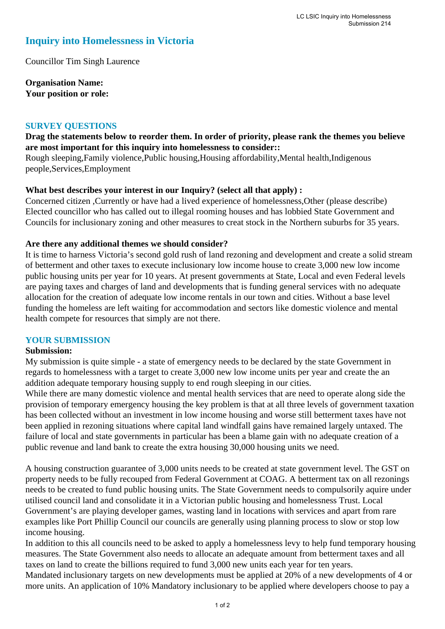# **Inquiry into Homelessness in Victoria**

Councillor Tim Singh Laurence

**Organisation Name: Your position or role:** 

#### **SURVEY QUESTIONS**

### **Drag the statements below to reorder them. In order of priority, please rank the themes you believe are most important for this inquiry into homelessness to consider::**

Rough sleeping,Family violence,Public housing,Housing affordability,Mental health,Indigenous people,Services,Employment

#### **What best describes your interest in our Inquiry? (select all that apply) :**

Concerned citizen ,Currently or have had a lived experience of homelessness,Other (please describe) Elected councillor who has called out to illegal rooming houses and has lobbied State Government and Councils for inclusionary zoning and other measures to creat stock in the Northern suburbs for 35 years.

#### **Are there any additional themes we should consider?**

It is time to harness Victoria's second gold rush of land rezoning and development and create a solid stream of betterment and other taxes to execute inclusionary low income house to create 3,000 new low income public housing units per year for 10 years. At present governments at State, Local and even Federal levels are paying taxes and charges of land and developments that is funding general services with no adequate allocation for the creation of adequate low income rentals in our town and cities. Without a base level funding the homeless are left waiting for accommodation and sectors like domestic violence and mental health compete for resources that simply are not there.

#### **YOUR SUBMISSION**

#### **Submission:**

My submission is quite simple - a state of emergency needs to be declared by the state Government in regards to homelessness with a target to create 3,000 new low income units per year and create the an addition adequate temporary housing supply to end rough sleeping in our cities.

While there are many domestic violence and mental health services that are need to operate along side the provision of temporary emergency housing the key problem is that at all three levels of government taxation has been collected without an investment in low income housing and worse still betterment taxes have not been applied in rezoning situations where capital land windfall gains have remained largely untaxed. The failure of local and state governments in particular has been a blame gain with no adequate creation of a public revenue and land bank to create the extra housing 30,000 housing units we need.

A housing construction guarantee of 3,000 units needs to be created at state government level. The GST on property needs to be fully recouped from Federal Government at COAG. A betterment tax on all rezonings needs to be created to fund public housing units. The State Government needs to compulsorily aquire under utilised council land and consolidate it in a Victorian public housing and homelessness Trust. Local Government's are playing developer games, wasting land in locations with services and apart from rare examples like Port Phillip Council our councils are generally using planning process to slow or stop low income housing.

In addition to this all councils need to be asked to apply a homelessness levy to help fund temporary housing measures. The State Government also needs to allocate an adequate amount from betterment taxes and all taxes on land to create the billions required to fund 3,000 new units each year for ten years.

Mandated inclusionary targets on new developments must be applied at 20% of a new developments of 4 or more units. An application of 10% Mandatory inclusionary to be applied where developers choose to pay a